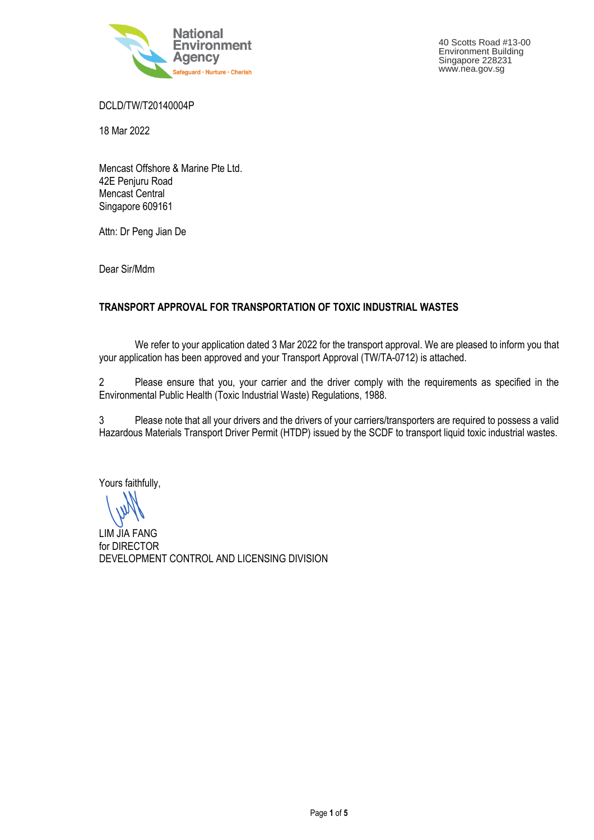

DCLD/TW/T20140004P

18 Mar 2022

Mencast Offshore & Marine Pte Ltd. 42E Penjuru Road Mencast Central Singapore 609161

Attn: Dr Peng Jian De

Dear Sir/Mdm

## **TRANSPORT APPROVAL FOR TRANSPORTATION OF TOXIC INDUSTRIAL WASTES**

 We refer to your application dated 3 Mar 2022 for the transport approval. We are pleased to inform you that your application has been approved and your Transport Approval (TW/TA-0712) is attached.

2 Please ensure that you, your carrier and the driver comply with the requirements as specified in the Environmental Public Health (Toxic Industrial Waste) Regulations, 1988.

3 Please note that all your drivers and the drivers of your carriers/transporters are required to possess a valid Hazardous Materials Transport Driver Permit (HTDP) issued by the SCDF to transport liquid toxic industrial wastes.

Yours faithfully,

LIM JIA FANG for DIRECTOR DEVELOPMENT CONTROL AND LICENSING DIVISION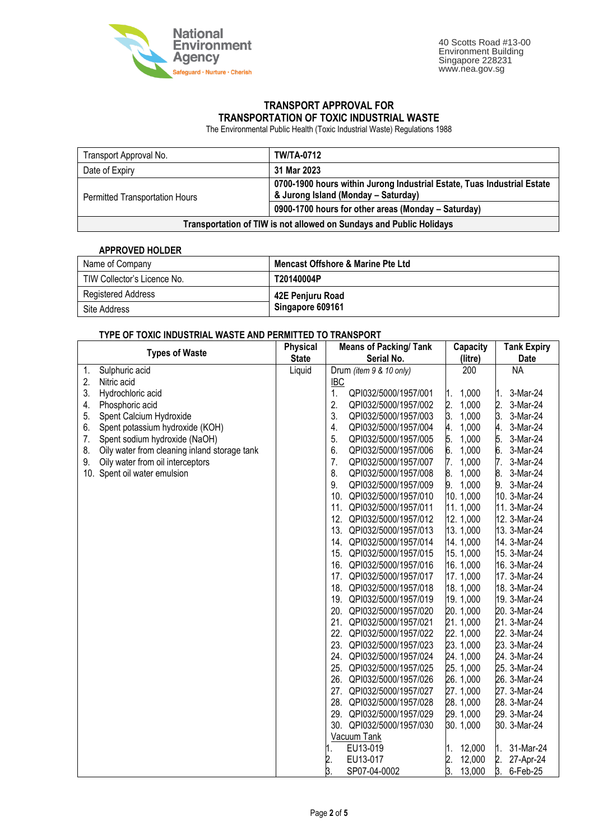

## **TRANSPORT APPROVAL FOR TRANSPORTATION OF TOXIC INDUSTRIAL WASTE**

The Environmental Public Health (Toxic Industrial Waste) Regulations 1988

| Transport Approval No.                                              | <b>TW/TA-0712</b>                                                                                              |  |  |
|---------------------------------------------------------------------|----------------------------------------------------------------------------------------------------------------|--|--|
| Date of Expiry                                                      | 31 Mar 2023                                                                                                    |  |  |
| Permitted Transportation Hours                                      | 0700-1900 hours within Jurong Industrial Estate, Tuas Industrial Estate<br>& Jurong Island (Monday - Saturday) |  |  |
|                                                                     | 0900-1700 hours for other areas (Monday - Saturday)                                                            |  |  |
| Transportation of TIW is not allowed on Sundays and Public Holidays |                                                                                                                |  |  |

## **APPROVED HOLDER**

| Name of Company             | <b>Mencast Offshore &amp; Marine Pte Ltd</b> |  |  |  |
|-----------------------------|----------------------------------------------|--|--|--|
| TIW Collector's Licence No. | T20140004P                                   |  |  |  |
| Registered Address          | 42E Penjuru Road                             |  |  |  |
| Site Address                | Singapore 609161                             |  |  |  |

## **TYPE OF TOXIC INDUSTRIAL WASTE AND PERMITTED TO TRANSPORT**

| 0 INDOO I INAL 11A0 I LAND I LI                    | <b>Physical</b> | <b>Means of Packing/Tank</b> | Capacity                  | <b>Tank Expiry</b> |
|----------------------------------------------------|-----------------|------------------------------|---------------------------|--------------------|
| <b>Types of Waste</b>                              | <b>State</b>    | Serial No.                   | (litre)                   | <b>Date</b>        |
| 1.<br>Sulphuric acid                               | Liquid          | Drum (item 9 & 10 only)      | 200                       | <b>NA</b>          |
| 2.<br>Nitric acid                                  |                 | <b>IBC</b>                   |                           |                    |
| 3.<br>Hydrochloric acid                            |                 | 1.<br>QPI032/5000/1957/001   | 1,000<br>1.               | 3-Mar-24<br>Ι1.    |
| 4.<br>Phosphoric acid                              |                 | 2.<br>QPI032/5000/1957/002   | $\overline{2}$ .<br>1,000 | 2.<br>3-Mar-24     |
| 5.<br>Spent Calcium Hydroxide                      |                 | 3.<br>QPI032/5000/1957/003   | 3.<br>1,000               | 3.<br>3-Mar-24     |
| Spent potassium hydroxide (KOH)<br>6.              |                 | 4.<br>QPI032/5000/1957/004   | 1,000<br>4.               | 4.<br>3-Mar-24     |
| 7.<br>Spent sodium hydroxide (NaOH)                |                 | 5.<br>QPI032/5000/1957/005   | 5.<br>1,000               | 5.<br>3-Mar-24     |
| 8.<br>Oily water from cleaning inland storage tank |                 | 6.<br>QPI032/5000/1957/006   | 6.<br>1,000               | 6.<br>3-Mar-24     |
| 9.<br>Oily water from oil interceptors             |                 | 7.<br>QPI032/5000/1957/007   | 1,000<br>7.               | 7.<br>3-Mar-24     |
| 10. Spent oil water emulsion                       |                 | 8.<br>QPI032/5000/1957/008   | 8.<br>1,000               | 8.<br>3-Mar-24     |
|                                                    |                 | 9.<br>QPI032/5000/1957/009   | 9.<br>1,000               | 9.<br>3-Mar-24     |
|                                                    |                 | 10.<br>QPI032/5000/1957/010  | 10.1,000                  | 10. 3-Mar-24       |
|                                                    |                 | 11.<br>QPI032/5000/1957/011  | 11.1,000                  | 11. 3-Mar-24       |
|                                                    |                 | 12. QPI032/5000/1957/012     | 12.1,000                  | 12. 3-Mar-24       |
|                                                    |                 | 13. QPI032/5000/1957/013     | 13.1,000                  | 13. 3-Mar-24       |
|                                                    |                 | 14. QPI032/5000/1957/014     | 14.1,000                  | 14. 3-Mar-24       |
|                                                    |                 | QPI032/5000/1957/015<br>15.  | 15.1,000                  | 15. 3-Mar-24       |
|                                                    |                 | 16. QPI032/5000/1957/016     | 16. 1,000                 | 16. 3-Mar-24       |
|                                                    |                 | 17. QPI032/5000/1957/017     | 17.1,000                  | 17. 3-Mar-24       |
|                                                    |                 | 18. QPI032/5000/1957/018     | 18.1,000                  | 18. 3-Mar-24       |
|                                                    |                 | 19. QPI032/5000/1957/019     | 19.1,000                  | 19. 3-Mar-24       |
|                                                    |                 | 20.<br>QPI032/5000/1957/020  | 20.1,000                  | 20. 3-Mar-24       |
|                                                    |                 | 21.<br>QPI032/5000/1957/021  | 21.1,000                  | 21. 3-Mar-24       |
|                                                    |                 | 22. QPI032/5000/1957/022     | 22. 1,000                 | 22. 3-Mar-24       |
|                                                    |                 | 23.<br>QPI032/5000/1957/023  | 23. 1,000                 | 23. 3-Mar-24       |
|                                                    |                 | 24. QPI032/5000/1957/024     | 24. 1,000                 | 24. 3-Mar-24       |
|                                                    |                 | 25.<br>QPI032/5000/1957/025  | 25. 1,000                 | 25. 3-Mar-24       |
|                                                    |                 | 26.<br>QPI032/5000/1957/026  | 26. 1,000                 | 26. 3-Mar-24       |
|                                                    |                 | 27.<br>QPI032/5000/1957/027  | 27.1,000                  | 27. 3-Mar-24       |
|                                                    |                 | 28.<br>QPI032/5000/1957/028  | 28. 1,000                 | 28. 3-Mar-24       |
|                                                    |                 | 29.<br>QPI032/5000/1957/029  | 29. 1,000                 | 29. 3-Mar-24       |
|                                                    |                 | 30. QPI032/5000/1957/030     | 30.1,000                  | 30. 3-Mar-24       |
|                                                    |                 | Vacuum Tank                  |                           |                    |
|                                                    |                 | EU13-019                     | 12,000<br>1.              | 31-Mar-24<br>M.    |
|                                                    |                 | EU13-017<br>2.               | 2.<br>3.<br>12,000        | 2.<br>27-Apr-24    |
|                                                    |                 | 3.<br>SP07-04-0002           | 13,000                    | β.<br>6-Feb-25     |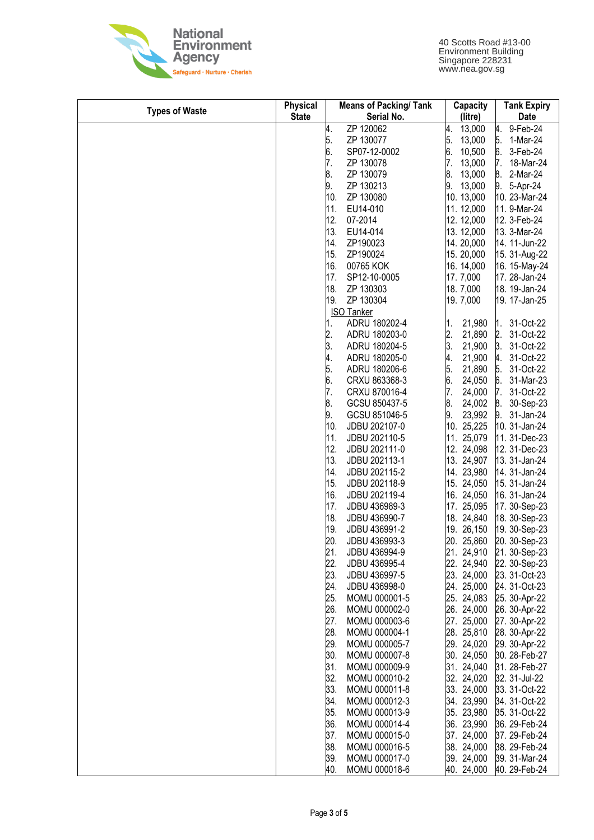

| <b>Types of Waste</b> | <b>Physical</b> | <b>Means of Packing/ Tank</b> | Capacity                 | <b>Tank Expiry</b> |
|-----------------------|-----------------|-------------------------------|--------------------------|--------------------|
|                       | <b>State</b>    | Serial No.                    | (litre)                  | Date               |
|                       |                 | ZP 120062<br>4.               | 4.<br>13,000             | 9-Feb-24<br>4.     |
|                       |                 | 5.<br>ZP 130077               | 13,000                   | 5.<br>1-Mar-24     |
|                       |                 | 6.<br>7.<br>SP07-12-0002      | 5.<br>6.<br>7.<br>10,500 | 6.<br>3-Feb-24     |
|                       |                 | ZP 130078                     | 13,000                   | 7.<br>18-Mar-24    |
|                       |                 | 8.<br>ZP 130079               | 8.<br>13,000             | 8.<br>2-Mar-24     |
|                       |                 | 9.<br>ZP 130213               | 9.<br>13,000             | 9.<br>5-Apr-24     |
|                       |                 | 10.<br>ZP 130080              | 10. 13,000               | 10. 23-Mar-24      |
|                       |                 | 11.<br>EU14-010               | 11. 12,000               | 11. 9-Mar-24       |
|                       |                 | 12.<br>07-2014                | 12. 12,000               | 12. 3-Feb-24       |
|                       |                 | 13.<br>EU14-014               | 13. 12,000               | 13. 3-Mar-24       |
|                       |                 | 14.<br>ZP190023               | 14.20,000                | 14. 11-Jun-22      |
|                       |                 | 15.<br>ZP190024               | 15.20,000                | 15. 31-Aug-22      |
|                       |                 | 16.<br>00765 KOK              | 16. 14,000               | 16. 15-May-24      |
|                       |                 | 17.<br>SP12-10-0005           | 17.7,000                 | 17. 28-Jan-24      |
|                       |                 | 18.<br>ZP 130303              | 18.7,000                 | 18. 19-Jan-24      |
|                       |                 | ZP 130304<br>19.              | 19.7,000                 | 19. 17-Jan-25      |
|                       |                 | <b>ISO Tanker</b>             |                          |                    |
|                       |                 | ADRU 180202-4<br>1.           | 21,980<br>1.             | 31-Oct-22<br>1.    |
|                       |                 | 2.<br>ADRU 180203-0           | 2.<br>21,890             | 2.<br>31-Oct-22    |
|                       |                 | 3.<br>ADRU 180204-5           | 3.<br>21,900             | 3.<br>31-Oct-22    |
|                       |                 | ADRU 180205-0                 | 4.<br>21,900             | 4.<br>31-Oct-22    |
|                       |                 | 4.<br>5.<br>ADRU 180206-6     | 5.<br>21,890             | 5.<br>31-Oct-22    |
|                       |                 | 6.<br>CRXU 863368-3           | 6.<br>24,050             | 6.<br>31-Mar-23    |
|                       |                 | 7.<br>CRXU 870016-4           | 7.<br>24,000             | 7.<br>31-Oct-22    |
|                       |                 | 8.<br>GCSU 850437-5           | 8.<br>24,002             | 8.<br>30-Sep-23    |
|                       |                 | 9.<br>GCSU 851046-5           | 23,992<br>9.             | 9.<br>31-Jan-24    |
|                       |                 | 10.<br>JDBU 202107-0          | 25,225<br>10.            | 10. 31-Jan-24      |
|                       |                 | JDBU 202110-5<br>11.          | 25,079<br>11.            | 11. 31-Dec-23      |
|                       |                 | 12.<br>JDBU 202111-0          | 12. 24,098               | 12. 31-Dec-23      |
|                       |                 | 13.<br>JDBU 202113-1          | 13. 24,907               | 13. 31-Jan-24      |
|                       |                 | 14.<br>JDBU 202115-2          | 14. 23,980               | 14. 31-Jan-24      |
|                       |                 | 15.<br>JDBU 202118-9          | 15. 24,050               | 15. 31-Jan-24      |
|                       |                 | 16.<br>JDBU 202119-4          | 16. 24,050               | 16. 31-Jan-24      |
|                       |                 | 17.<br>JDBU 436989-3          | 17. 25,095               | 17. 30-Sep-23      |
|                       |                 | 18.<br>JDBU 436990-7          | 18. 24,840               | 18. 30-Sep-23      |
|                       |                 | 19.<br>JDBU 436991-2          | 19. 26,150               | 19. 30-Sep-23      |
|                       |                 | 20.<br>JDBU 436993-3          | 20. 25,860               | 20. 30-Sep-23      |
|                       |                 | 21.<br>JDBU 436994-9          | 21. 24,910               | 21. 30-Sep-23      |
|                       |                 | 22.<br>JDBU 436995-4          | 22. 24,940               | 22. 30-Sep-23      |
|                       |                 | 23.<br>JDBU 436997-5          | 23. 24,000               | 23. 31-Oct-23      |
|                       |                 | 24.<br>JDBU 436998-0          | 24. 25,000               | 24. 31-Oct-23      |
|                       |                 | 25.<br>MOMU 000001-5          | 25. 24,083               | 25. 30-Apr-22      |
|                       |                 | 26.<br>MOMU 000002-0          | 26. 24,000               | 26. 30-Apr-22      |
|                       |                 | 27.<br>MOMU 000003-6          | 27. 25,000               | 27. 30-Apr-22      |
|                       |                 | 28.<br>MOMU 000004-1          | 28. 25,810               | 28. 30-Apr-22      |
|                       |                 | 29.<br>MOMU 000005-7          | 29. 24,020               | 29. 30-Apr-22      |
|                       |                 | 30.<br>MOMU 000007-8          | 30. 24,050               | 30. 28-Feb-27      |
|                       |                 | 31.<br>MOMU 000009-9          | 31. 24,040               | 31. 28-Feb-27      |
|                       |                 | 32.<br>MOMU 000010-2          | 32. 24,020               | 32. 31-Jul-22      |
|                       |                 | 33.<br>MOMU 000011-8          | 33. 24,000               | 33. 31-Oct-22      |
|                       |                 | 34.<br>MOMU 000012-3          | 34. 23,990               | 34. 31-Oct-22      |
|                       |                 | 35.<br>MOMU 000013-9          | 35. 23,980               | 35. 31-Oct-22      |
|                       |                 | 36.<br>MOMU 000014-4          | 36. 23,990               | 36. 29-Feb-24      |
|                       |                 | 37.<br>MOMU 000015-0          | 37. 24,000               | 37. 29-Feb-24      |
|                       |                 | 38.<br>MOMU 000016-5          | 38. 24,000               | 38. 29-Feb-24      |
|                       |                 | MOMU 000017-0<br>39.          | 39. 24,000               | 39. 31-Mar-24      |
|                       |                 | 40.<br>MOMU 000018-6          | 40. 24,000               | 40. 29-Feb-24      |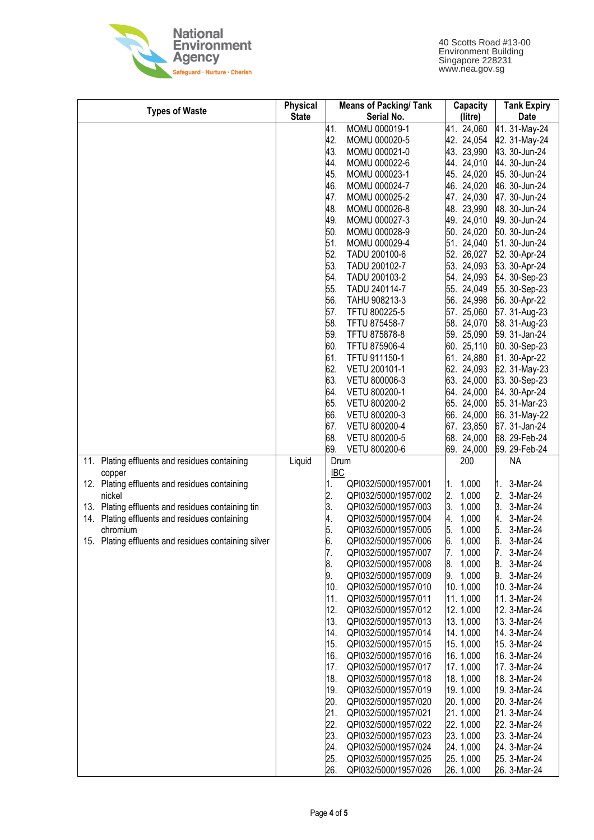

| <b>Types of Waste</b>                                   | <b>Physical</b> | <b>Means of Packing/ Tank</b>    | Capacity          | <b>Tank Expiry</b> |
|---------------------------------------------------------|-----------------|----------------------------------|-------------------|--------------------|
|                                                         | <b>State</b>    | Serial No.                       | (litre)           | Date               |
|                                                         |                 | 41.<br>MOMU 000019-1             | 41. 24,060        | 41. 31-May-24      |
|                                                         |                 | 42.<br>MOMU 000020-5             | 42. 24,054        | 42. 31-May-24      |
|                                                         |                 | 43.<br>MOMU 000021-0             | 43. 23,990        | 43. 30-Jun-24      |
|                                                         |                 | 44.<br>MOMU 000022-6             | 44. 24,010        | 44. 30-Jun-24      |
|                                                         |                 | 45.<br>MOMU 000023-1             | 45. 24,020        | 45. 30-Jun-24      |
|                                                         |                 | 46.<br>MOMU 000024-7             | 46. 24,020        | 46. 30-Jun-24      |
|                                                         |                 | 47.<br>MOMU 000025-2             | 47. 24,030        | 47. 30-Jun-24      |
|                                                         |                 | 48.<br>MOMU 000026-8             | 48. 23,990        | 48. 30-Jun-24      |
|                                                         |                 | 49.<br>MOMU 000027-3             | 49. 24,010        | 49. 30-Jun-24      |
|                                                         |                 | 50.<br>MOMU 000028-9             | 50. 24,020        | 50. 30-Jun-24      |
|                                                         |                 | 51.<br>MOMU 000029-4             | 51. 24,040        | 51. 30-Jun-24      |
|                                                         |                 | 52.<br>TADU 200100-6             | 52. 26,027        | 52. 30-Apr-24      |
|                                                         |                 | 53.<br>TADU 200102-7             | 53. 24,093        | 53. 30-Apr-24      |
|                                                         |                 | 54.<br>TADU 200103-2             | 54. 24,093        | 54. 30-Sep-23      |
|                                                         |                 | 55.<br>TADU 240114-7             | 55. 24,049        | 55. 30-Sep-23      |
|                                                         |                 | 56.<br>TAHU 908213-3             | 56. 24,998        | 56. 30-Apr-22      |
|                                                         |                 | 57.<br>TFTU 800225-5             | 25,060<br>57.     | 57. 31-Aug-23      |
|                                                         |                 | 58.<br>TFTU 875458-7             | 58. 24,070        | 58. 31-Aug-23      |
|                                                         |                 | 59.<br>TFTU 875878-8             | 59. 25,090        | 59. 31-Jan-24      |
|                                                         |                 | 60.<br>TFTU 875906-4             | 60. 25,110        | 60. 30-Sep-23      |
|                                                         |                 | 61.<br>TFTU 911150-1             | 61. 24,880        | 61. 30-Apr-22      |
|                                                         |                 | 62.<br>VETU 200101-1             | 62. 24,093        | 62. 31-May-23      |
|                                                         |                 | 63.<br>VETU 800006-3             | 63. 24,000        | 63. 30-Sep-23      |
|                                                         |                 | 64.<br>VETU 800200-1             | 64. 24,000        | 64. 30-Apr-24      |
|                                                         |                 | 65.<br>VETU 800200-2             | 65. 24,000        | 65. 31-Mar-23      |
|                                                         |                 | 66.<br>VETU 800200-3             | 66. 24,000        | 66. 31-May-22      |
|                                                         |                 | 67.<br>VETU 800200-4             | 67. 23,850        | 67. 31-Jan-24      |
|                                                         |                 | 68.<br>VETU 800200-5             | 68. 24,000        | 68. 29-Feb-24      |
|                                                         |                 | 69.<br>VETU 800200-6             | 69. 24,000        | 69. 29-Feb-24      |
| Plating effluents and residues containing<br>11.        | Liquid          | Drum<br><b>IBC</b>               | 200               | <b>NA</b>          |
| copper<br>12. Plating effluents and residues containing |                 | QPI032/5000/1957/001             | 1,000             | 3-Mar-24<br>1.     |
| nickel                                                  |                 | 1.<br>2.<br>QPI032/5000/1957/002 | 1.<br>2.<br>1,000 | 2.<br>3-Mar-24     |
| Plating effluents and residues containing tin<br>13.    |                 | 3.<br>QPI032/5000/1957/003       | 3.<br>1,000       | β.<br>3-Mar-24     |
| Plating effluents and residues containing<br>14.        |                 | 4.<br>QPI032/5000/1957/004       | 4.<br>1,000       | 4.<br>3-Mar-24     |
| chromium                                                |                 | 5.<br>QPI032/5000/1957/005       | 5.<br>1,000       | Б.<br>3-Mar-24     |
| Plating effluents and residues containing silver<br>15. |                 | 6.<br>QPI032/5000/1957/006       | 6.<br>1,000       | 3-Mar-24<br>6.     |
|                                                         |                 | 7.<br>QPI032/5000/1957/007       | 7.<br>1,000       | 7.<br>3-Mar-24     |
|                                                         |                 | 8.<br>QPI032/5000/1957/008       | 8.<br>1,000       | 3-Mar-24<br>8.     |
|                                                         |                 | 9.<br>QPI032/5000/1957/009       | 9.<br>1,000       | 3-Mar-24<br>9.     |
|                                                         |                 | 10.<br>QPI032/5000/1957/010      | 10.1,000          | 10. 3-Mar-24       |
|                                                         |                 | QPI032/5000/1957/011<br>11.      | 11. 1,000         | 11. 3-Mar-24       |
|                                                         |                 | 12.<br>QPI032/5000/1957/012      | 12. 1,000         | 12. 3-Mar-24       |
|                                                         |                 | 13.<br>QPI032/5000/1957/013      | 13.1,000          | 13. 3-Mar-24       |
|                                                         |                 | 14.<br>QPI032/5000/1957/014      | 14.1,000          | 14. 3-Mar-24       |
|                                                         |                 | 15.<br>QPI032/5000/1957/015      | 15. 1,000         | 15. 3-Mar-24       |
|                                                         |                 | 16.<br>QPI032/5000/1957/016      | 16. 1,000         | 16. 3-Mar-24       |
|                                                         |                 | 17.<br>QPI032/5000/1957/017      | 17.1,000          | 17. 3-Mar-24       |
|                                                         |                 | 18.<br>QPI032/5000/1957/018      | 18.1,000          | 18. 3-Mar-24       |
|                                                         |                 | 19.<br>QPI032/5000/1957/019      | 19.1,000          | 19. 3-Mar-24       |
|                                                         |                 | 20.<br>QPI032/5000/1957/020      | 20.1,000          | 20. 3-Mar-24       |
|                                                         |                 | 21.<br>QPI032/5000/1957/021      | 21. 1,000         | 21. 3-Mar-24       |
|                                                         |                 | 22.<br>QPI032/5000/1957/022      | 22. 1,000         | 22. 3-Mar-24       |
|                                                         |                 | 23.<br>QPI032/5000/1957/023      | 23. 1,000         | 23. 3-Mar-24       |
|                                                         |                 | 24.<br>QPI032/5000/1957/024      | 24. 1,000         | 24. 3-Mar-24       |
|                                                         |                 | 25.<br>QPI032/5000/1957/025      | 25. 1,000         | 25. 3-Mar-24       |
|                                                         |                 | 26.<br>QPI032/5000/1957/026      | 26. 1,000         | 26. 3-Mar-24       |